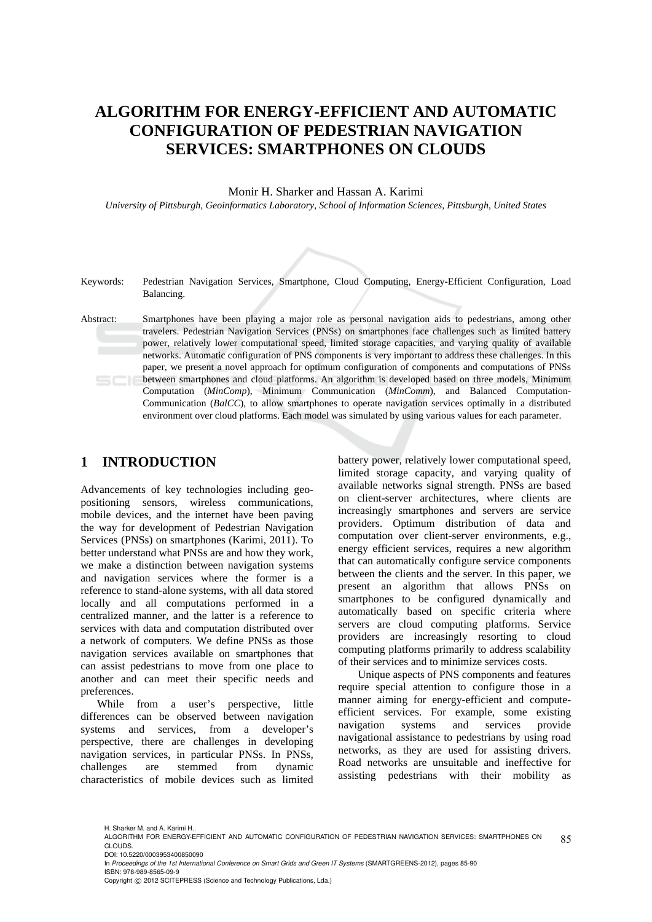# **ALGORITHM FOR ENERGY-EFFICIENT AND AUTOMATIC CONFIGURATION OF PEDESTRIAN NAVIGATION SERVICES: SMARTPHONES ON CLOUDS**

#### Monir H. Sharker and Hassan A. Karimi

*University of Pittsburgh, Geoinformatics Laboratory, School of Information Sciences, Pittsburgh, United States* 



Keywords: Pedestrian Navigation Services, Smartphone, Cloud Computing, Energy-Efficient Configuration, Load Balancing.

Abstract: Smartphones have been playing a major role as personal navigation aids to pedestrians, among other travelers. Pedestrian Navigation Services (PNSs) on smartphones face challenges such as limited battery power, relatively lower computational speed, limited storage capacities, and varying quality of available networks. Automatic configuration of PNS components is very important to address these challenges. In this paper, we present a novel approach for optimum configuration of components and computations of PNSs between smartphones and cloud platforms. An algorithm is developed based on three models, Minimum Computation (*MinComp*), Minimum Communication (*MinComm*), and Balanced Computation-Communication (*BalCC*), to allow smartphones to operate navigation services optimally in a distributed environment over cloud platforms. Each model was simulated by using various values for each parameter.

### **1 INTRODUCTION**

Advancements of key technologies including geopositioning sensors, wireless communications, mobile devices, and the internet have been paving the way for development of Pedestrian Navigation Services (PNSs) on smartphones (Karimi, 2011). To better understand what PNSs are and how they work, we make a distinction between navigation systems and navigation services where the former is a reference to stand-alone systems, with all data stored locally and all computations performed in a centralized manner, and the latter is a reference to services with data and computation distributed over a network of computers. We define PNSs as those navigation services available on smartphones that can assist pedestrians to move from one place to another and can meet their specific needs and preferences.

While from a user's perspective, little differences can be observed between navigation systems and services, from a developer's perspective, there are challenges in developing navigation services, in particular PNSs. In PNSs, challenges are stemmed from dynamic characteristics of mobile devices such as limited battery power, relatively lower computational speed, limited storage capacity, and varying quality of available networks signal strength. PNSs are based on client-server architectures, where clients are increasingly smartphones and servers are service providers. Optimum distribution of data and computation over client-server environments, e.g., energy efficient services, requires a new algorithm that can automatically configure service components between the clients and the server. In this paper, we present an algorithm that allows PNSs on smartphones to be configured dynamically and automatically based on specific criteria where servers are cloud computing platforms. Service providers are increasingly resorting to cloud computing platforms primarily to address scalability of their services and to minimize services costs.

Unique aspects of PNS components and features require special attention to configure those in a manner aiming for energy-efficient and computeefficient services. For example, some existing navigation systems and services provide navigational assistance to pedestrians by using road networks, as they are used for assisting drivers. Road networks are unsuitable and ineffective for assisting pedestrians with their mobility as

In *Proceedings of the 1st International Conference on Smart Grids and Green IT Systems* (SMARTGREENS-2012), pages 85-90 ISBN: 978-989-8565-09-9

H. Sharker M. and A. Karimi H..

<sup>85</sup> ALGORITHM FOR ENERGY-EFFICIENT AND AUTOMATIC CONFIGURATION OF PEDESTRIAN NAVIGATION SERVICES: SMARTPHONES ON CLOUDS. DOI: 10.5220/0003953400850090

Copyright © 2012 SCITEPRESS (Science and Technology Publications, Lda.)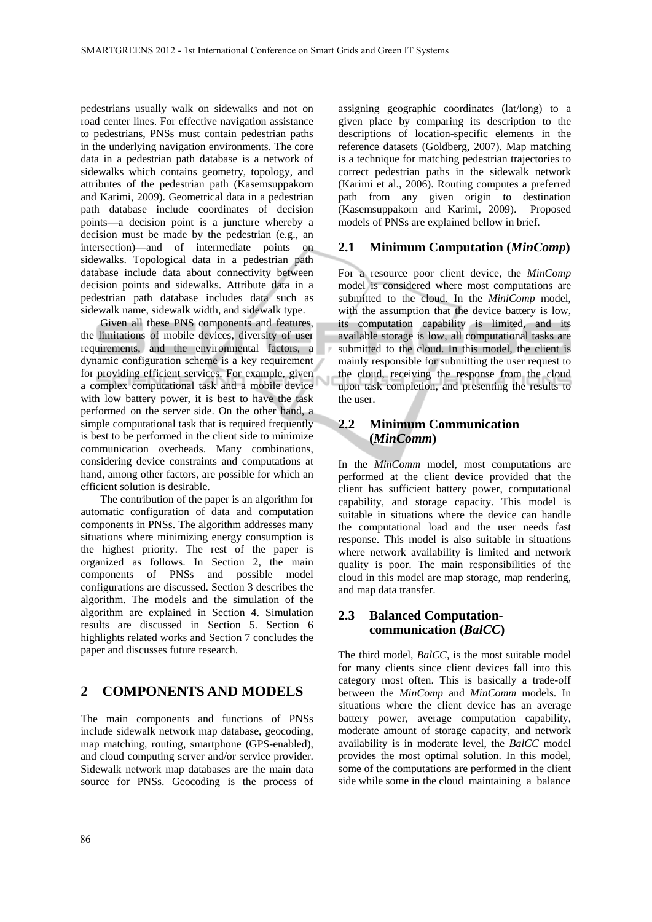pedestrians usually walk on sidewalks and not on road center lines. For effective navigation assistance to pedestrians, PNSs must contain pedestrian paths in the underlying navigation environments. The core data in a pedestrian path database is a network of sidewalks which contains geometry, topology, and attributes of the pedestrian path (Kasemsuppakorn and Karimi, 2009). Geometrical data in a pedestrian path database include coordinates of decision points—a decision point is a juncture whereby a decision must be made by the pedestrian (e.g., an intersection)—and of intermediate points on sidewalks. Topological data in a pedestrian path database include data about connectivity between decision points and sidewalks. Attribute data in a pedestrian path database includes data such as sidewalk name, sidewalk width, and sidewalk type.

Given all these PNS components and features, the limitations of mobile devices, diversity of user requirements, and the environmental factors, a dynamic configuration scheme is a key requirement for providing efficient services. For example, given a complex computational task and a mobile device with low battery power, it is best to have the task performed on the server side. On the other hand, a simple computational task that is required frequently is best to be performed in the client side to minimize communication overheads. Many combinations, considering device constraints and computations at hand, among other factors, are possible for which an efficient solution is desirable.

The contribution of the paper is an algorithm for automatic configuration of data and computation components in PNSs. The algorithm addresses many situations where minimizing energy consumption is the highest priority. The rest of the paper is organized as follows. In Section 2, the main components of PNSs and possible model configurations are discussed. Section 3 describes the algorithm. The models and the simulation of the algorithm are explained in Section 4. Simulation results are discussed in Section 5. Section 6 highlights related works and Section 7 concludes the paper and discusses future research.

### **2 COMPONENTS AND MODELS**

The main components and functions of PNSs include sidewalk network map database, geocoding, map matching, routing, smartphone (GPS-enabled), and cloud computing server and/or service provider. Sidewalk network map databases are the main data source for PNSs. Geocoding is the process of

assigning geographic coordinates (lat/long) to a given place by comparing its description to the descriptions of location-specific elements in the reference datasets (Goldberg, 2007). Map matching is a technique for matching pedestrian trajectories to correct pedestrian paths in the sidewalk network (Karimi et al., 2006). Routing computes a preferred path from any given origin to destination (Kasemsuppakorn and Karimi, 2009). Proposed models of PNSs are explained bellow in brief.

#### **2.1 Minimum Computation (***MinComp***)**

For a resource poor client device, the *MinComp* model is considered where most computations are submitted to the cloud. In the *MiniComp* model, with the assumption that the device battery is low, its computation capability is limited, and its available storage is low, all computational tasks are submitted to the cloud. In this model, the client is mainly responsible for submitting the user request to the cloud, receiving the response from the cloud upon task completion, and presenting the results to the user.

### **2.2 Minimum Communication (***MinComm***)**

In the *MinComm* model, most computations are performed at the client device provided that the client has sufficient battery power, computational capability, and storage capacity. This model is suitable in situations where the device can handle the computational load and the user needs fast response. This model is also suitable in situations where network availability is limited and network quality is poor. The main responsibilities of the cloud in this model are map storage, map rendering, and map data transfer.

### **2.3 Balanced Computationcommunication (***BalCC***)**

The third model, *BalCC*, is the most suitable model for many clients since client devices fall into this category most often. This is basically a trade-off between the *MinComp* and *MinComm* models. In situations where the client device has an average battery power, average computation capability, moderate amount of storage capacity, and network availability is in moderate level, the *BalCC* model provides the most optimal solution. In this model, some of the computations are performed in the client side while some in the cloud maintaining a balance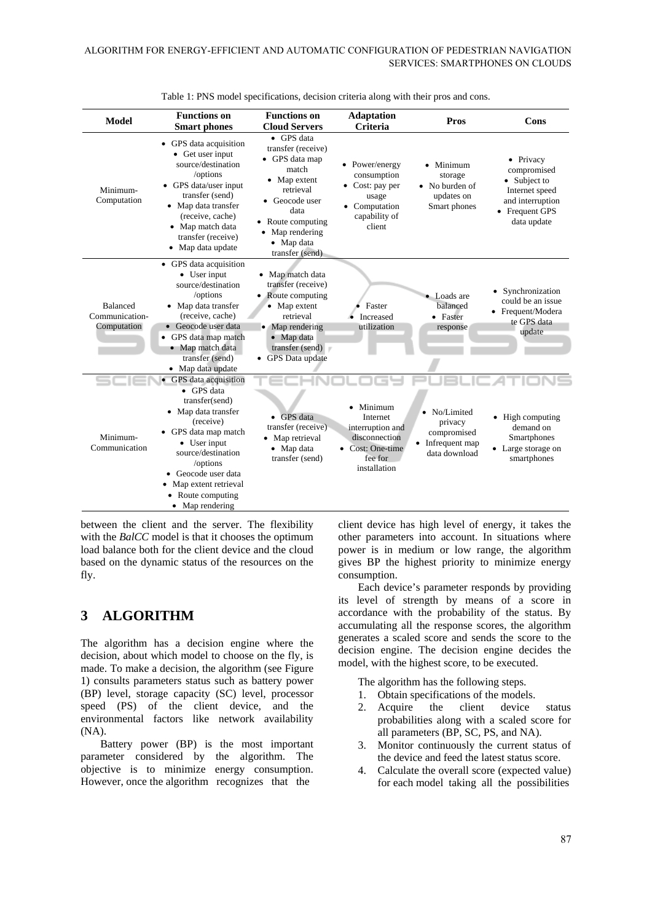| <b>Model</b>                                     | <b>Functions</b> on<br><b>Smart phones</b>                                                                                                                                                                                                                   | <b>Functions</b> on<br><b>Cloud Servers</b>                                                                                                                                                 | <b>Adaptation</b><br><b>Criteria</b>                                                                          | Pros                                                                        | Cons                                                                                                            |
|--------------------------------------------------|--------------------------------------------------------------------------------------------------------------------------------------------------------------------------------------------------------------------------------------------------------------|---------------------------------------------------------------------------------------------------------------------------------------------------------------------------------------------|---------------------------------------------------------------------------------------------------------------|-----------------------------------------------------------------------------|-----------------------------------------------------------------------------------------------------------------|
| Minimum-<br>Computation                          | GPS data acquisition<br>$\bullet$<br>• Get user input<br>source/destination<br>/options<br>• GPS data/user input<br>transfer (send)<br>• Map data transfer<br>(receive, cache)<br>• Map match data<br>transfer (receive)<br>Map data update<br>$\bullet$     | • GPS data<br>transfer (receive)<br>• GPS data map<br>match<br>• Map extent<br>retrieval<br>• Geocode user<br>data<br>• Route computing<br>• Map rendering<br>• Map data<br>transfer (send) | • Power/energy<br>consumption<br>$\bullet$ Cost: pay per<br>usage<br>• Computation<br>capability of<br>client | • Minimum<br>storage<br>• No burden of<br>updates on<br>Smart phones        | • Privacy<br>compromised<br>• Subject to<br>Internet speed<br>and interruption<br>• Frequent GPS<br>data update |
| <b>Balanced</b><br>Communication-<br>Computation | • GPS data acquisition<br>• User input<br>source/destination<br>/options<br>• Map data transfer<br>(receive, cache)<br>• Geocode user data<br>• GPS data map match<br>• Map match data<br>transfer (send)<br>• Map data update                               | • Map match data<br>transfer (receive)<br>• Route computing<br>• Map extent<br>retrieval<br>Map rendering<br>• Map data<br>transfer (send)<br>• GPS Data update                             | Faster<br>Increased<br>utilization                                                                            | • Loads are<br>balanced<br>• Faster<br>response                             | Synchronization<br>$\bullet$<br>could be an issue<br>• Frequent/Modera<br>te GPS data<br>update                 |
| Minimum-<br>Communication                        | • GPS data acquisition<br>• GPS data<br>transfer(send)<br>• Map data transfer<br>(receive)<br>• GPS data map match<br>• User input<br>source/destination<br>/options<br>Geocode user data<br>Map extent retrieval<br>• Route computing<br>Map rendering<br>٠ | GPS data<br>٠<br>transfer (receive)<br>Map retrieval<br>• Map data<br>transfer (send)                                                                                                       | • Minimum<br>Internet<br>interruption and<br>disconnection<br>Cost: One-time<br>fee for<br>installation       | • No/Limited<br>privacy<br>compromised<br>• Infrequent map<br>data download | • High computing<br>demand on<br>Smartphones<br>• Large storage on<br>smartphones                               |

Table 1: PNS model specifications, decision criteria along with their pros and cons.

between the client and the server. The flexibility with the *BalCC* model is that it chooses the optimum load balance both for the client device and the cloud based on the dynamic status of the resources on the fly.

# **3 ALGORITHM**

The algorithm has a decision engine where the decision, about which model to choose on the fly, is made. To make a decision, the algorithm (see Figure 1) consults parameters status such as battery power (BP) level, storage capacity (SC) level, processor speed (PS) of the client device, and the environmental factors like network availability (NA).

Battery power (BP) is the most important parameter considered by the algorithm. The objective is to minimize energy consumption. However, once the algorithm recognizes that the

client device has high level of energy, it takes the other parameters into account. In situations where power is in medium or low range, the algorithm gives BP the highest priority to minimize energy consumption.

Each device's parameter responds by providing its level of strength by means of a score in accordance with the probability of the status. By accumulating all the response scores, the algorithm generates a scaled score and sends the score to the decision engine. The decision engine decides the model, with the highest score, to be executed.

The algorithm has the following steps.

- 1. Obtain specifications of the models.
- 2. Acquire the client device status probabilities along with a scaled score for all parameters (BP, SC, PS, and NA).
- 3. Monitor continuously the current status of the device and feed the latest status score.
- 4. Calculate the overall score (expected value) for each model taking all the possibilities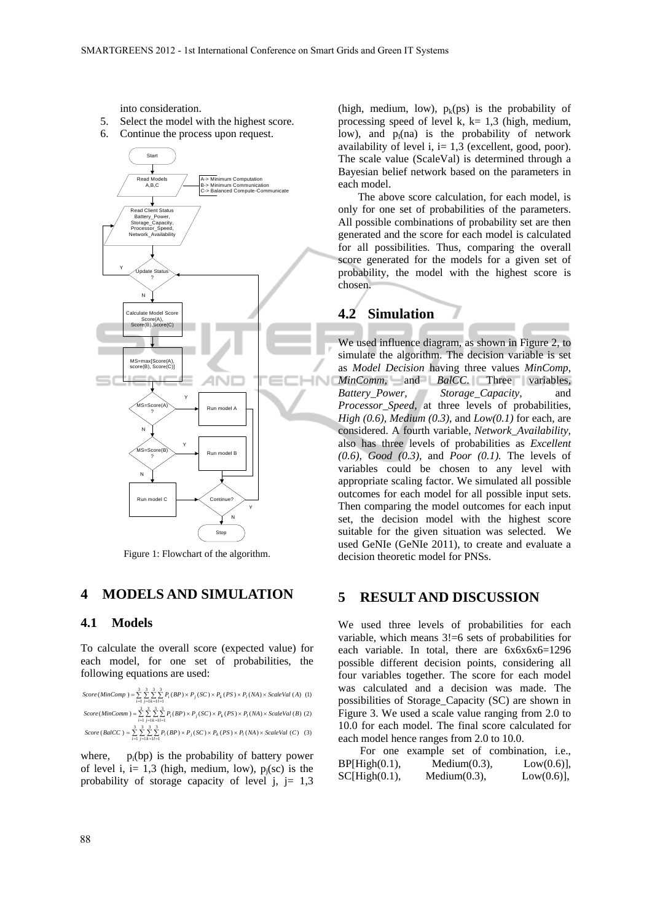into consideration.

- 5. Select the model with the highest score.
- 6. Continue the process upon request.



Figure 1: Flowchart of the algorithm.

### **4 MODELS AND SIMULATION**

#### **4.1 Models**

To calculate the overall score (expected value) for each model, for one set of probabilities, the following equations are used:

| Score (MinComp) = $\sum \sum \sum P_i (BP) \times P_j (SC) \times P_k (PS) \times P_l (NA) \times ScaleVal (A)$ (1)<br>$i=1$ $i=1$ $k=1$ $l=1$                |  |
|---------------------------------------------------------------------------------------------------------------------------------------------------------------|--|
| $Score(MinComm) = \sum_{i} \sum_{i} \sum_{i} \sum_{j} P_i(BP) \times P_i(SC) \times P_k(PS) \times P_i(NA) \times ScaleVal(B)$ (2)<br>$i=1$ $i=1$ $k=1$ $l=1$ |  |
| Score (BalCC) = $\sum \sum \sum P_i(BP) \times P_i(SC) \times P_k(PS) \times P_l(NA) \times ScaleVal(C)$ (3)<br>$i=1$ $i=1$ $k=1$ $l=1$                       |  |

where,  $p_i(bp)$  is the probability of battery power of level i, i= 1,3 (high, medium, low),  $p_i$ (sc) is the probability of storage capacity of level  $j$ ,  $j=1,3$ 

(high, medium, low),  $p_k(ps)$  is the probability of processing speed of level k,  $k= 1,3$  (high, medium, low), and  $p_l(na)$  is the probability of network availability of level i,  $i=1,3$  (excellent, good, poor). The scale value (ScaleVal) is determined through a Bayesian belief network based on the parameters in each model.

The above score calculation, for each model, is only for one set of probabilities of the parameters. All possible combinations of probability set are then generated and the score for each model is calculated for all possibilities. Thus, comparing the overall score generated for the models for a given set of probability, the model with the highest score is chosen.

### **4.2 Simulation**

We used influence diagram, as shown in Figure 2, to simulate the algorithm. The decision variable is set as *Model Decision* having three values *MinComp*, *MinComm*, and *BalCC*. Three variables, *Battery\_Power, Storage\_Capacity,* and *Processor\_Speed,* at three levels of probabilities, *High (0.6), Medium (0.3)*, and *Low(0.1)* for each, are considered. A fourth variable, *Network\_Availability,* also has three levels of probabilities as *Excellent (0.6), Good (0.3),* and *Poor (0.1).* The levels of variables could be chosen to any level with appropriate scaling factor. We simulated all possible outcomes for each model for all possible input sets. Then comparing the model outcomes for each input set, the decision model with the highest score suitable for the given situation was selected. We used GeNIe (GeNIe 2011), to create and evaluate a decision theoretic model for PNSs.

### **5 RESULT AND DISCUSSION**

We used three levels of probabilities for each variable, which means 3!=6 sets of probabilities for each variable. In total, there are  $6x6x6x6=1296$ possible different decision points, considering all four variables together. The score for each model was calculated and a decision was made. The possibilities of Storage\_Capacity (SC) are shown in Figure 3. We used a scale value ranging from 2.0 to 10.0 for each model. The final score calculated for each model hence ranges from 2.0 to 10.0.

|                |                  |                  | For one example set of combination, i.e., |  |
|----------------|------------------|------------------|-------------------------------------------|--|
| BP[High(0.1),] |                  | Medium $(0.3)$ , | $Low(0.6)$ ],                             |  |
| SC[High(0.1),  | Medium $(0.3)$ , |                  | $Low(0.6)$ ],                             |  |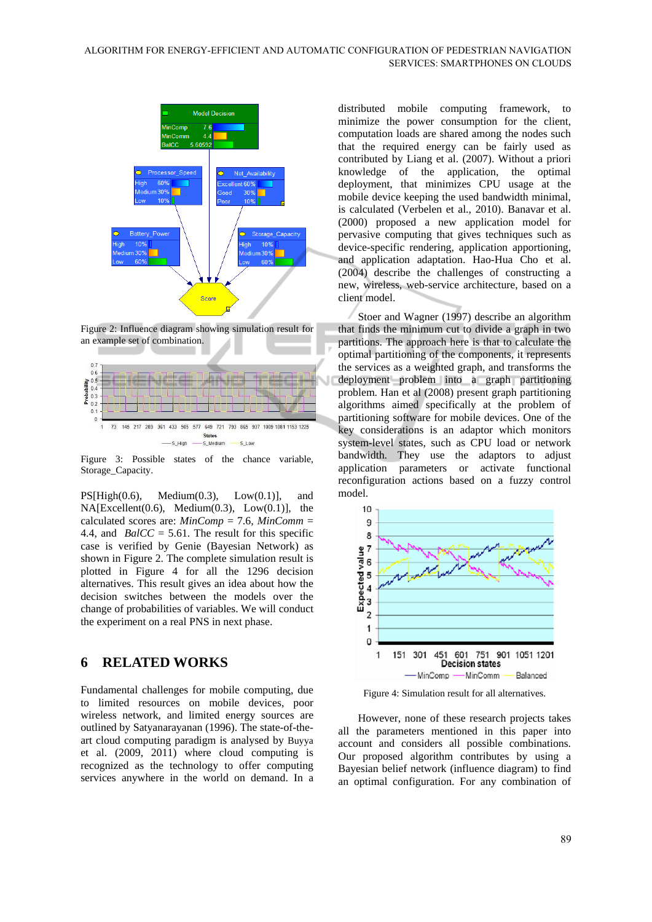

Figure 2: Influence diagram showing simulation result for an example set of combination.



Figure 3: Possible states of the chance variable, Storage\_Capacity.

 $PS[High(0.6), Medium(0.3), Low(0.1)], and$  $NA[Exact(0.6), Medium(0.3), Low(0.1)], the$ calculated scores are: *MinComp* = 7.6, *MinComm* = 4.4, and *BalCC* = 5.61. The result for this specific case is verified by Genie (Bayesian Network) as shown in Figure 2. The complete simulation result is plotted in Figure 4 for all the 1296 decision alternatives. This result gives an idea about how the decision switches between the models over the change of probabilities of variables. We will conduct the experiment on a real PNS in next phase.

### **6 RELATED WORKS**

Fundamental challenges for mobile computing, due to limited resources on mobile devices, poor wireless network, and limited energy sources are outlined by Satyanarayanan (1996). The state-of-theart cloud computing paradigm is analysed by Buyya et al. (2009, 2011) where cloud computing is recognized as the technology to offer computing services anywhere in the world on demand. In a

distributed mobile computing framework, to minimize the power consumption for the client, computation loads are shared among the nodes such that the required energy can be fairly used as contributed by Liang et al. (2007). Without a priori knowledge of the application, the optimal deployment, that minimizes CPU usage at the mobile device keeping the used bandwidth minimal, is calculated (Verbelen et al., 2010). Banavar et al. (2000) proposed a new application model for pervasive computing that gives techniques such as device-specific rendering, application apportioning, and application adaptation. Hao-Hua Cho et al. (2004) describe the challenges of constructing a new, wireless, web-service architecture, based on a client model.

 Stoer and Wagner (1997) describe an algorithm that finds the minimum cut to divide a graph in two partitions. The approach here is that to calculate the optimal partitioning of the components, it represents the services as a weighted graph, and transforms the deployment problem into a graph partitioning problem. Han et al (2008) present graph partitioning algorithms aimed specifically at the problem of partitioning software for mobile devices. One of the key considerations is an adaptor which monitors system-level states, such as CPU load or network bandwidth. They use the adaptors to adjust application parameters or activate functional reconfiguration actions based on a fuzzy control model.



Figure 4: Simulation result for all alternatives.

However, none of these research projects takes all the parameters mentioned in this paper into account and considers all possible combinations. Our proposed algorithm contributes by using a Bayesian belief network (influence diagram) to find an optimal configuration. For any combination of